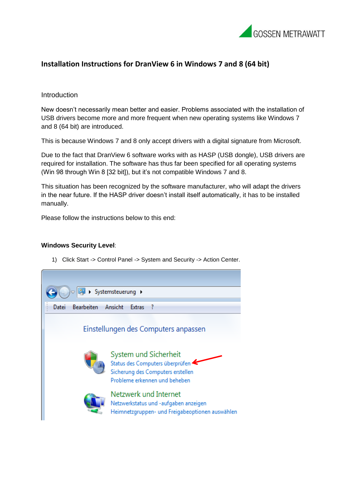

## **Installation Instructions for DranView 6 in Windows 7 and 8 (64 bit)**

## Introduction

New doesn't necessarily mean better and easier. Problems associated with the installation of USB drivers become more and more frequent when new operating systems like Windows 7 and 8 (64 bit) are introduced.

This is because Windows 7 and 8 only accept drivers with a digital signature from Microsoft.

Due to the fact that DranView 6 software works with as HASP (USB dongle), USB drivers are required for installation. The software has thus far been specified for all operating systems (Win 98 through Win 8 [32 bit]), but it's not compatible Windows 7 and 8.

This situation has been recognized by the software manufacturer, who will adapt the drivers in the near future. If the HASP driver doesn't install itself automatically, it has to be installed manually.

Please follow the instructions below to this end:

## **Windows Security Level**:

1) Click Start -> Control Panel -> System and Security -> Action Center.

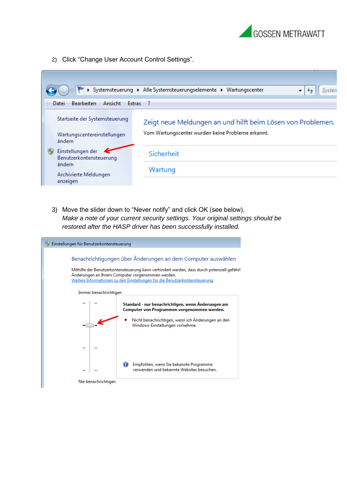

2) Click "Change User Account Control Settings".



3) Move the slider down to "Never notify" and click OK (see below). *Make a note of your current security settings. Your original settings should be restored after the HASP driver has been successfully installed.*